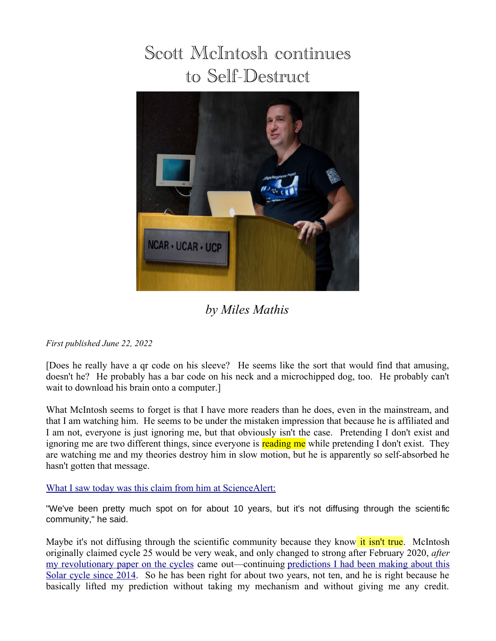## Scott McIntosh continues to Self-Destruct



## *by Miles Mathis*

## *First published June 22, 2022*

[Does he really have a qr code on his sleeve? He seems like the sort that would find that amusing, doesn't he? He probably has a bar code on his neck and a microchipped dog, too. He probably can't wait to download his brain onto a computer.]

What McIntosh seems to forget is that I have more readers than he does, even in the mainstream, and that I am watching him. He seems to be under the mistaken impression that because he is affiliated and I am not, everyone is just ignoring me, but that obviously isn't the case. Pretending I don't exist and ignoring me are two different things, since everyone is reading me while pretending I don't exist. They are watching me and my theories destroy him in slow motion, but he is apparently so self-absorbed he hasn't gotten that message.

## [What I saw today was this claim from him at ScienceAlert:](https://www.sciencealert.com/something-is-up-with-the-sun-and-it-could-mean-our-models-are-wrong)

"We've been pretty much spot on for about 10 years, but it's not diffusing through the scientific community," he said.

Maybe it's not diffusing through the scientific community because they know it isn't true. McIntosh originally claimed cycle 25 would be very weak, and only changed to strong after February 2020, *after* [my revolutionary paper on the cycles](http://milesmathis.com/goody.pdf) came out—continuing [predictions I had been making about this](http://milesmathis.com/cycle.pdf) [Solar cycle since 2014.](http://milesmathis.com/cycle.pdf) So he has been right for about two years, not ten, and he is right because he basically lifted my prediction without taking my mechanism and without giving me any credit.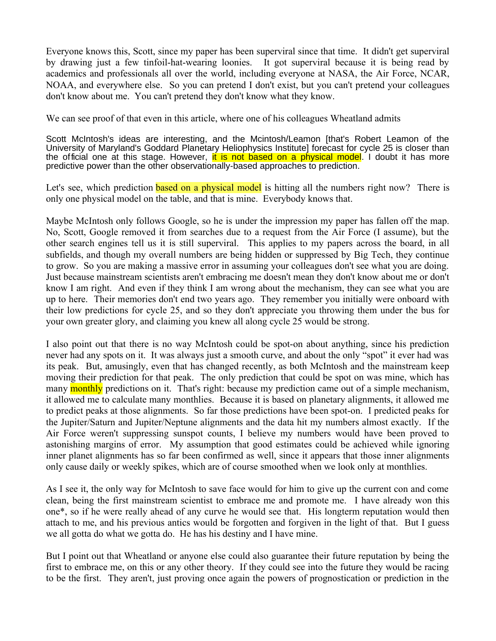Everyone knows this, Scott, since my paper has been superviral since that time. It didn't get superviral by drawing just a few tinfoil-hat-wearing loonies. It got superviral because it is being read by academics and professionals all over the world, including everyone at NASA, the Air Force, NCAR, NOAA, and everywhere else. So you can pretend I don't exist, but you can't pretend your colleagues don't know about me. You can't pretend they don't know what they know.

We can see proof of that even in this article, where one of his colleagues Wheatland admits

Scott McIntosh's ideas are interesting, and the Mcintosh/Leamon [that's Robert Leamon of the University of Maryland's Goddard Planetary Heliophysics Institute] forecast for cycle 25 is closer than the official one at this stage. However, it is not based on a physical model. I doubt it has more predictive power than the other observationally-based approaches to prediction.

Let's see, which prediction **based on a physical model** is hitting all the numbers right now? There is only one physical model on the table, and that is mine. Everybody knows that.

Maybe McIntosh only follows Google, so he is under the impression my paper has fallen off the map. No, Scott, Google removed it from searches due to a request from the Air Force (I assume), but the other search engines tell us it is still superviral. This applies to my papers across the board, in all subfields, and though my overall numbers are being hidden or suppressed by Big Tech, they continue to grow. So you are making a massive error in assuming your colleagues don't see what you are doing. Just because mainstream scientists aren't embracing me doesn't mean they don't know about me or don't know I am right. And even if they think I am wrong about the mechanism, they can see what you are up to here. Their memories don't end two years ago. They remember you initially were onboard with their low predictions for cycle 25, and so they don't appreciate you throwing them under the bus for your own greater glory, and claiming you knew all along cycle 25 would be strong.

I also point out that there is no way McIntosh could be spot-on about anything, since his prediction never had any spots on it. It was always just a smooth curve, and about the only "spot" it ever had was its peak. But, amusingly, even that has changed recently, as both McIntosh and the mainstream keep moving their prediction for that peak. The only prediction that could be spot on was mine, which has many monthly predictions on it. That's right: because my prediction came out of a simple mechanism, it allowed me to calculate many monthlies. Because it is based on planetary alignments, it allowed me to predict peaks at those alignments. So far those predictions have been spot-on. I predicted peaks for the Jupiter/Saturn and Jupiter/Neptune alignments and the data hit my numbers almost exactly. If the Air Force weren't suppressing sunspot counts, I believe my numbers would have been proved to astonishing margins of error. My assumption that good estimates could be achieved while ignoring inner planet alignments has so far been confirmed as well, since it appears that those inner alignments only cause daily or weekly spikes, which are of course smoothed when we look only at monthlies.

As I see it, the only way for McIntosh to save face would for him to give up the current con and come clean, being the first mainstream scientist to embrace me and promote me. I have already won this one\*, so if he were really ahead of any curve he would see that. His longterm reputation would then attach to me, and his previous antics would be forgotten and forgiven in the light of that. But I guess we all gotta do what we gotta do. He has his destiny and I have mine.

But I point out that Wheatland or anyone else could also guarantee their future reputation by being the first to embrace me, on this or any other theory. If they could see into the future they would be racing to be the first. They aren't, just proving once again the powers of prognostication or prediction in the